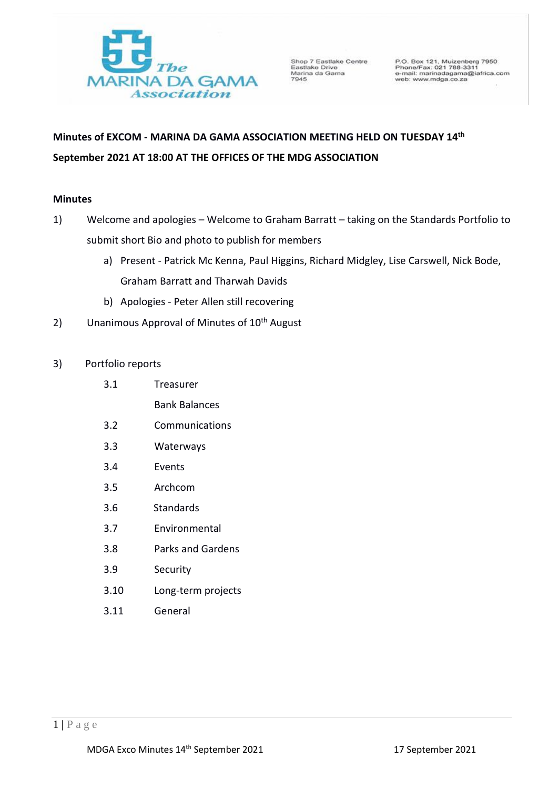

Shop 7 Eastlake Centre<br>Eastlake Drive<br>Marina da Gama<br>7945

P.O. Box 121, Muizenberg 7950<br>Phone/Fax: 021 788-3311<br>e-mail: marinadagama@iafrica.com<br>web: www.mdga.co.za

# **Minutes of EXCOM - MARINA DA GAMA ASSOCIATION MEETING HELD ON TUESDAY 14 th September 2021 AT 18:00 AT THE OFFICES OF THE MDG ASSOCIATION**

## **Minutes**

- 1) Welcome and apologies Welcome to Graham Barratt taking on the Standards Portfolio to submit short Bio and photo to publish for members
	- a) Present Patrick Mc Kenna, Paul Higgins, Richard Midgley, Lise Carswell, Nick Bode, Graham Barratt and Tharwah Davids
	- b) Apologies Peter Allen still recovering
- 2) Unanimous Approval of Minutes of  $10<sup>th</sup>$  August
- 3) Portfolio reports
	- 3.1 Treasurer
		- Bank Balances
	- 3.2 Communications
	- 3.3 Waterways
	- 3.4 Events
	- 3.5 Archcom
	- 3.6 Standards
	- 3.7 Environmental
	- 3.8 Parks and Gardens
	- 3.9 Security
	- 3.10 Long-term projects
	- 3.11 General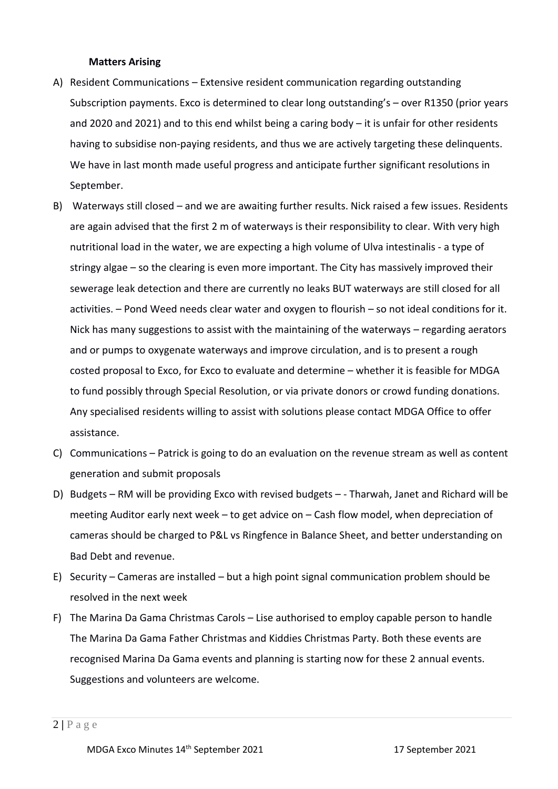#### **Matters Arising**

- A) Resident Communications Extensive resident communication regarding outstanding Subscription payments. Exco is determined to clear long outstanding's – over R1350 (prior years and 2020 and 2021) and to this end whilst being a caring body – it is unfair for other residents having to subsidise non-paying residents, and thus we are actively targeting these delinquents. We have in last month made useful progress and anticipate further significant resolutions in September.
- B) Waterways still closed and we are awaiting further results. Nick raised a few issues. Residents are again advised that the first 2 m of waterways is their responsibility to clear. With very high nutritional load in the water, we are expecting a high volume of Ulva intestinalis - a type of stringy algae – so the clearing is even more important. The City has massively improved their sewerage leak detection and there are currently no leaks BUT waterways are still closed for all activities. – Pond Weed needs clear water and oxygen to flourish – so not ideal conditions for it. Nick has many suggestions to assist with the maintaining of the waterways – regarding aerators and or pumps to oxygenate waterways and improve circulation, and is to present a rough costed proposal to Exco, for Exco to evaluate and determine – whether it is feasible for MDGA to fund possibly through Special Resolution, or via private donors or crowd funding donations. Any specialised residents willing to assist with solutions please contact MDGA Office to offer assistance.
- C) Communications Patrick is going to do an evaluation on the revenue stream as well as content generation and submit proposals
- D) Budgets RM will be providing Exco with revised budgets - Tharwah, Janet and Richard will be meeting Auditor early next week – to get advice on – Cash flow model, when depreciation of cameras should be charged to P&L vs Ringfence in Balance Sheet, and better understanding on Bad Debt and revenue.
- E) Security Cameras are installed but a high point signal communication problem should be resolved in the next week
- F) The Marina Da Gama Christmas Carols Lise authorised to employ capable person to handle The Marina Da Gama Father Christmas and Kiddies Christmas Party. Both these events are recognised Marina Da Gama events and planning is starting now for these 2 annual events. Suggestions and volunteers are welcome.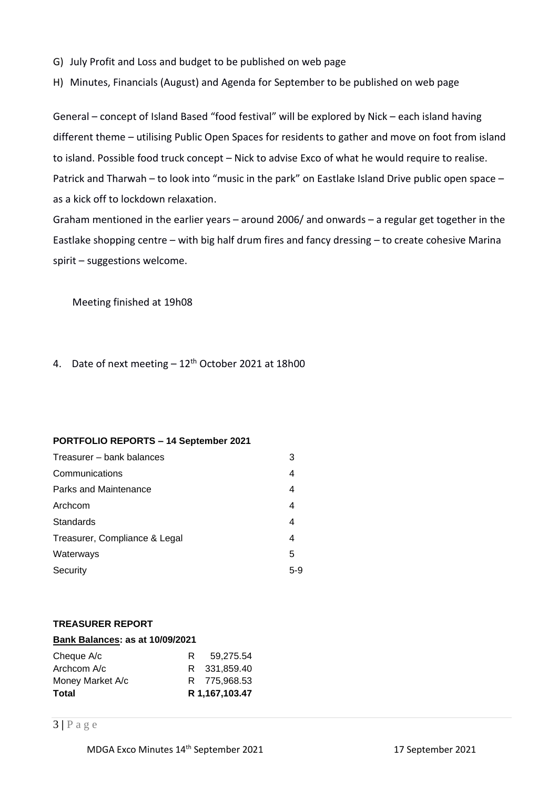- G) July Profit and Loss and budget to be published on web page
- H) Minutes, Financials (August) and Agenda for September to be published on web page

General – concept of Island Based "food festival" will be explored by Nick – each island having different theme – utilising Public Open Spaces for residents to gather and move on foot from island to island. Possible food truck concept – Nick to advise Exco of what he would require to realise. Patrick and Tharwah – to look into "music in the park" on Eastlake Island Drive public open space – as a kick off to lockdown relaxation.

Graham mentioned in the earlier years – around 2006/ and onwards – a regular get together in the Eastlake shopping centre – with big half drum fires and fancy dressing – to create cohesive Marina spirit – suggestions welcome.

Meeting finished at 19h08

4. Date of next meeting  $-12$ <sup>th</sup> October 2021 at 18h00

#### **PORTFOLIO REPORTS – 14 September 2021**

| Treasurer – bank balances     | 3     |
|-------------------------------|-------|
| Communications                | 4     |
| Parks and Maintenance         | 4     |
| Archcom                       | 4     |
| <b>Standards</b>              | 4     |
| Treasurer, Compliance & Legal | 4     |
| Waterways                     | 5     |
| Security                      | $5-9$ |
|                               |       |

#### **TREASURER REPORT**

| Bank Balances: as at 10/09/2021 |   |                |
|---------------------------------|---|----------------|
| Cheque A/c                      | R | 59.275.54      |
| Archcom A/c                     |   | R 331,859.40   |
| Money Market A/c                |   | R 775.968.53   |
| <b>Total</b>                    |   | R 1,167,103.47 |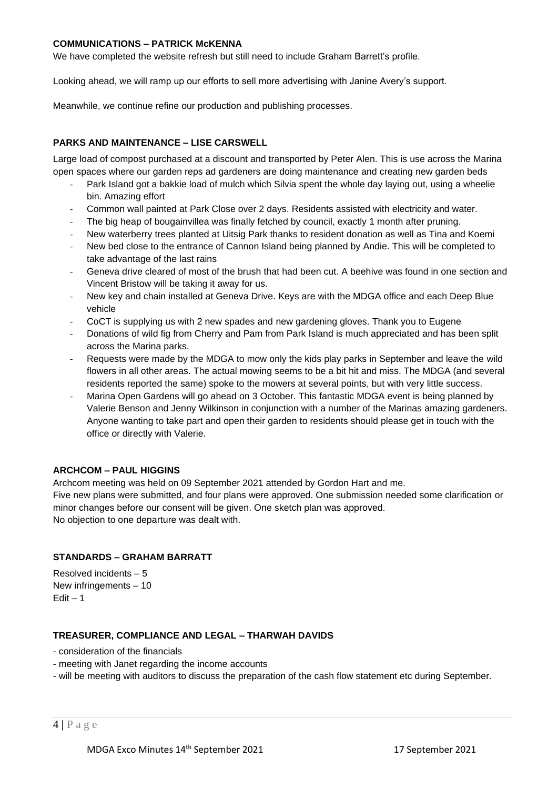#### **COMMUNICATIONS – PATRICK McKENNA**

We have completed the website refresh but still need to include Graham Barrett's profile.

Looking ahead, we will ramp up our efforts to sell more advertising with Janine Avery's support.

Meanwhile, we continue refine our production and publishing processes.

#### **PARKS AND MAINTENANCE – LISE CARSWELL**

Large load of compost purchased at a discount and transported by Peter Alen. This is use across the Marina open spaces where our garden reps ad gardeners are doing maintenance and creating new garden beds

- Park Island got a bakkie load of mulch which Silvia spent the whole day laying out, using a wheelie bin. Amazing effort
- Common wall painted at Park Close over 2 days. Residents assisted with electricity and water.
- The big heap of bougainvillea was finally fetched by council, exactly 1 month after pruning.
- New waterberry trees planted at Uitsig Park thanks to resident donation as well as Tina and Koemi
- New bed close to the entrance of Cannon Island being planned by Andie. This will be completed to take advantage of the last rains
- Geneva drive cleared of most of the brush that had been cut. A beehive was found in one section and Vincent Bristow will be taking it away for us.
- New key and chain installed at Geneva Drive. Keys are with the MDGA office and each Deep Blue vehicle
- CoCT is supplying us with 2 new spades and new gardening gloves. Thank you to Eugene
- Donations of wild fig from Cherry and Pam from Park Island is much appreciated and has been split across the Marina parks.
- Requests were made by the MDGA to mow only the kids play parks in September and leave the wild flowers in all other areas. The actual mowing seems to be a bit hit and miss. The MDGA (and several residents reported the same) spoke to the mowers at several points, but with very little success.
- Marina Open Gardens will go ahead on 3 October. This fantastic MDGA event is being planned by Valerie Benson and Jenny Wilkinson in conjunction with a number of the Marinas amazing gardeners. Anyone wanting to take part and open their garden to residents should please get in touch with the office or directly with Valerie.

#### **ARCHCOM – PAUL HIGGINS**

Archcom meeting was held on 09 September 2021 attended by Gordon Hart and me. Five new plans were submitted, and four plans were approved. One submission needed some clarification or minor changes before our consent will be given. One sketch plan was approved. No objection to one departure was dealt with.

#### **STANDARDS – GRAHAM BARRATT**

Resolved incidents – 5 New infringements – 10  $Edit - 1$ 

#### **TREASURER, COMPLIANCE AND LEGAL – THARWAH DAVIDS**

- consideration of the financials
- meeting with Janet regarding the income accounts
- will be meeting with auditors to discuss the preparation of the cash flow statement etc during September.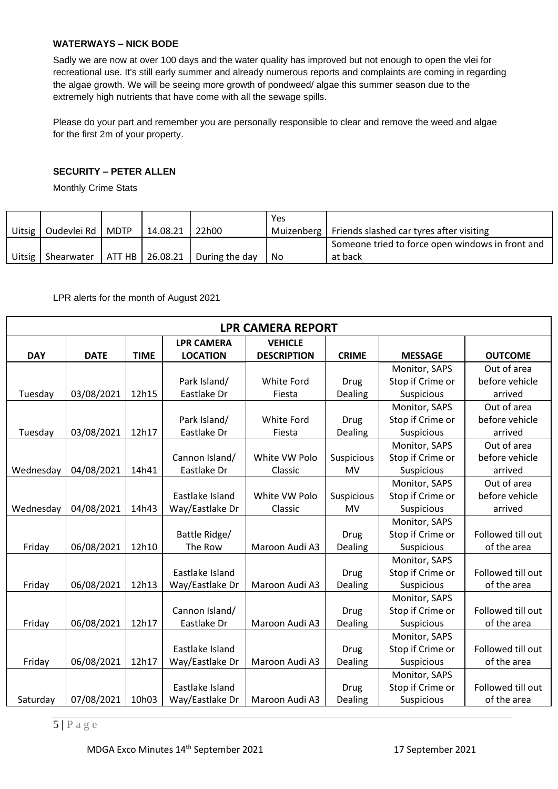## **WATERWAYS – NICK BODE**

Sadly we are now at over 100 days and the water quality has improved but not enough to open the vlei for recreational use. It's still early summer and already numerous reports and complaints are coming in regarding the algae growth. We will be seeing more growth of pondweed/ algae this summer season due to the extremely high nutrients that have come with all the sewage spills.

Please do your part and remember you are personally responsible to clear and remove the weed and algae for the first 2m of your property.

## **SECURITY – PETER ALLEN**

Monthly Crime Stats

| <b>Uitsig</b> | Oudevlei Rd   MDTP | 14.08.21 | 122h00                                                 | Yes  | Muizenberg   Friends slashed car tyres after visiting       |
|---------------|--------------------|----------|--------------------------------------------------------|------|-------------------------------------------------------------|
| <b>Uitsig</b> | Shearwater         |          | $\vert$ ATT HB $\vert$ 26.08.21 $\vert$ During the day | ' No | Someone tried to force open windows in front and<br>at back |

LPR alerts for the month of August 2021

| <b>LPR CAMERA REPORT</b> |             |             |                   |                    |              |                  |                   |  |
|--------------------------|-------------|-------------|-------------------|--------------------|--------------|------------------|-------------------|--|
|                          |             |             | <b>LPR CAMERA</b> | <b>VEHICLE</b>     |              |                  |                   |  |
| <b>DAY</b>               | <b>DATE</b> | <b>TIME</b> | <b>LOCATION</b>   | <b>DESCRIPTION</b> | <b>CRIME</b> | <b>MESSAGE</b>   | <b>OUTCOME</b>    |  |
|                          |             |             |                   |                    |              | Monitor, SAPS    | Out of area       |  |
|                          |             |             | Park Island/      | White Ford         | <b>Drug</b>  | Stop if Crime or | before vehicle    |  |
| Tuesday                  | 03/08/2021  | 12h15       | Eastlake Dr       | Fiesta             | Dealing      | Suspicious       | arrived           |  |
|                          |             |             |                   |                    |              | Monitor, SAPS    | Out of area       |  |
|                          |             |             | Park Island/      | White Ford         | <b>Drug</b>  | Stop if Crime or | before vehicle    |  |
| Tuesday                  | 03/08/2021  | 12h17       | Eastlake Dr       | Fiesta             | Dealing      | Suspicious       | arrived           |  |
|                          |             |             |                   |                    |              | Monitor, SAPS    | Out of area       |  |
|                          |             |             | Cannon Island/    | White VW Polo      | Suspicious   | Stop if Crime or | before vehicle    |  |
| Wednesday                | 04/08/2021  | 14h41       | Eastlake Dr       | Classic            | MV           | Suspicious       | arrived           |  |
|                          |             |             |                   |                    |              | Monitor, SAPS    | Out of area       |  |
|                          |             |             | Eastlake Island   | White VW Polo      | Suspicious   | Stop if Crime or | before vehicle    |  |
| Wednesday                | 04/08/2021  | 14h43       | Way/Eastlake Dr   | Classic            | MV           | Suspicious       | arrived           |  |
|                          |             |             |                   |                    |              | Monitor, SAPS    |                   |  |
|                          |             |             | Battle Ridge/     |                    | <b>Drug</b>  | Stop if Crime or | Followed till out |  |
| Friday                   | 06/08/2021  | 12h10       | The Row           | Maroon Audi A3     | Dealing      | Suspicious       | of the area       |  |
|                          |             |             |                   |                    |              | Monitor, SAPS    |                   |  |
|                          |             |             | Eastlake Island   |                    | Drug         | Stop if Crime or | Followed till out |  |
| Friday                   | 06/08/2021  | 12h13       | Way/Eastlake Dr   | Maroon Audi A3     | Dealing      | Suspicious       | of the area       |  |
|                          |             |             |                   |                    |              | Monitor, SAPS    |                   |  |
|                          |             |             | Cannon Island/    |                    | <b>Drug</b>  | Stop if Crime or | Followed till out |  |
| Friday                   | 06/08/2021  | 12h17       | Eastlake Dr       | Maroon Audi A3     | Dealing      | Suspicious       | of the area       |  |
|                          |             |             |                   |                    |              | Monitor, SAPS    |                   |  |
|                          |             |             | Eastlake Island   |                    | <b>Drug</b>  | Stop if Crime or | Followed till out |  |
| Friday                   | 06/08/2021  | 12h17       | Way/Eastlake Dr   | Maroon Audi A3     | Dealing      | Suspicious       | of the area       |  |
|                          |             |             |                   |                    |              | Monitor, SAPS    |                   |  |
|                          |             |             | Eastlake Island   |                    | <b>Drug</b>  | Stop if Crime or | Followed till out |  |
| Saturday                 | 07/08/2021  | 10h03       | Way/Eastlake Dr   | Maroon Audi A3     | Dealing      | Suspicious       | of the area       |  |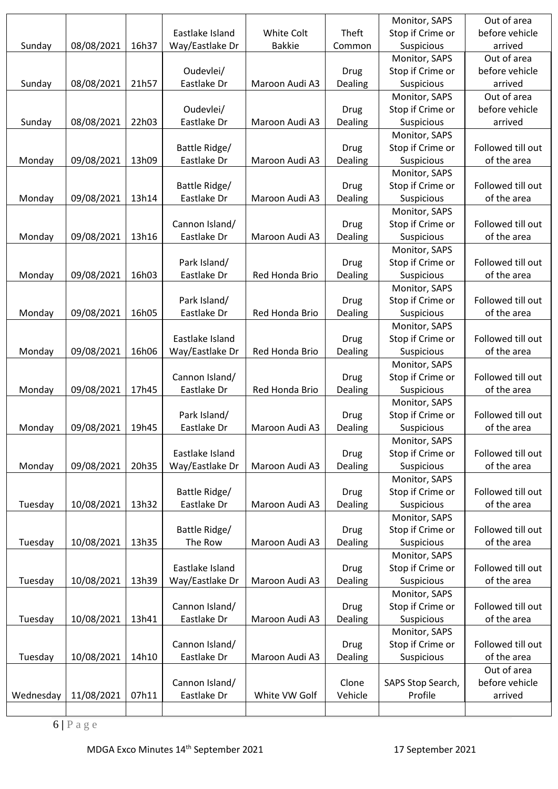|           |            |       |                 |                |             | Monitor, SAPS     | Out of area       |
|-----------|------------|-------|-----------------|----------------|-------------|-------------------|-------------------|
|           |            |       | Eastlake Island | White Colt     | Theft       | Stop if Crime or  | before vehicle    |
| Sunday    | 08/08/2021 | 16h37 | Way/Eastlake Dr | <b>Bakkie</b>  | Common      | <b>Suspicious</b> | arrived           |
|           |            |       |                 |                |             | Monitor, SAPS     | Out of area       |
|           |            |       | Oudevlei/       |                | Drug        | Stop if Crime or  | before vehicle    |
| Sunday    | 08/08/2021 | 21h57 | Eastlake Dr     | Maroon Audi A3 | Dealing     | Suspicious        | arrived           |
|           |            |       |                 |                |             | Monitor, SAPS     | Out of area       |
|           |            |       | Oudevlei/       |                | <b>Drug</b> | Stop if Crime or  | before vehicle    |
| Sunday    | 08/08/2021 | 22h03 | Eastlake Dr     | Maroon Audi A3 | Dealing     | Suspicious        | arrived           |
|           |            |       |                 |                |             | Monitor, SAPS     |                   |
|           |            |       | Battle Ridge/   |                | Drug        | Stop if Crime or  | Followed till out |
| Monday    | 09/08/2021 | 13h09 | Eastlake Dr     | Maroon Audi A3 | Dealing     | Suspicious        | of the area       |
|           |            |       |                 |                |             | Monitor, SAPS     |                   |
|           |            |       | Battle Ridge/   |                | Drug        | Stop if Crime or  | Followed till out |
| Monday    | 09/08/2021 | 13h14 | Eastlake Dr     | Maroon Audi A3 | Dealing     | Suspicious        | of the area       |
|           |            |       |                 |                |             | Monitor, SAPS     |                   |
|           |            |       | Cannon Island/  |                | <b>Drug</b> | Stop if Crime or  | Followed till out |
| Monday    | 09/08/2021 | 13h16 | Eastlake Dr     | Maroon Audi A3 | Dealing     | Suspicious        | of the area       |
|           |            |       |                 |                |             | Monitor, SAPS     |                   |
|           |            |       | Park Island/    |                | Drug        | Stop if Crime or  | Followed till out |
| Monday    | 09/08/2021 | 16h03 | Eastlake Dr     | Red Honda Brio | Dealing     | Suspicious        | of the area       |
|           |            |       |                 |                |             | Monitor, SAPS     |                   |
|           |            |       | Park Island/    |                | <b>Drug</b> | Stop if Crime or  | Followed till out |
| Monday    | 09/08/2021 | 16h05 | Eastlake Dr     | Red Honda Brio | Dealing     | Suspicious        | of the area       |
|           |            |       |                 |                |             | Monitor, SAPS     |                   |
|           |            |       | Eastlake Island |                | Drug        | Stop if Crime or  | Followed till out |
| Monday    | 09/08/2021 | 16h06 | Way/Eastlake Dr | Red Honda Brio | Dealing     | Suspicious        | of the area       |
|           |            |       |                 |                |             | Monitor, SAPS     |                   |
|           |            |       | Cannon Island/  |                | <b>Drug</b> | Stop if Crime or  | Followed till out |
| Monday    | 09/08/2021 | 17h45 | Eastlake Dr     | Red Honda Brio | Dealing     | Suspicious        | of the area       |
|           |            |       |                 |                |             | Monitor, SAPS     |                   |
|           |            |       | Park Island/    |                | <b>Drug</b> | Stop if Crime or  | Followed till out |
| Monday    | 09/08/2021 | 19h45 | Eastlake Dr     | Maroon Audi A3 | Dealing     | Suspicious        | of the area       |
|           |            |       |                 |                |             | Monitor, SAPS     |                   |
|           |            |       | Eastlake Island |                | <b>Drug</b> | Stop if Crime or  | Followed till out |
| Monday    | 09/08/2021 | 20h35 | Way/Eastlake Dr | Maroon Audi A3 | Dealing     | Suspicious        | of the area       |
|           |            |       |                 |                |             | Monitor, SAPS     |                   |
|           |            |       | Battle Ridge/   |                | <b>Drug</b> | Stop if Crime or  | Followed till out |
| Tuesday   | 10/08/2021 | 13h32 | Eastlake Dr     | Maroon Audi A3 | Dealing     | Suspicious        | of the area       |
|           |            |       |                 |                |             | Monitor, SAPS     |                   |
|           |            |       | Battle Ridge/   |                | <b>Drug</b> | Stop if Crime or  | Followed till out |
| Tuesday   | 10/08/2021 | 13h35 | The Row         | Maroon Audi A3 | Dealing     | Suspicious        | of the area       |
|           |            |       |                 |                |             | Monitor, SAPS     |                   |
|           |            |       |                 |                |             |                   | Followed till out |
|           |            |       | Eastlake Island | Maroon Audi A3 | <b>Drug</b> | Stop if Crime or  |                   |
| Tuesday   | 10/08/2021 | 13h39 | Way/Eastlake Dr |                | Dealing     | Suspicious        | of the area       |
|           |            |       |                 |                |             | Monitor, SAPS     |                   |
|           |            | 13h41 | Cannon Island/  |                | <b>Drug</b> | Stop if Crime or  | Followed till out |
| Tuesday   | 10/08/2021 |       | Eastlake Dr     | Maroon Audi A3 | Dealing     | Suspicious        | of the area       |
|           |            |       |                 |                |             | Monitor, SAPS     |                   |
|           |            |       | Cannon Island/  |                | <b>Drug</b> | Stop if Crime or  | Followed till out |
| Tuesday   | 10/08/2021 | 14h10 | Eastlake Dr     | Maroon Audi A3 | Dealing     | Suspicious        | of the area       |
|           |            |       |                 |                |             |                   | Out of area       |
|           |            |       | Cannon Island/  |                | Clone       | SAPS Stop Search, | before vehicle    |
| Wednesday | 11/08/2021 | 07h11 | Eastlake Dr     | White VW Golf  | Vehicle     | Profile           | arrived           |
|           |            |       |                 |                |             |                   |                   |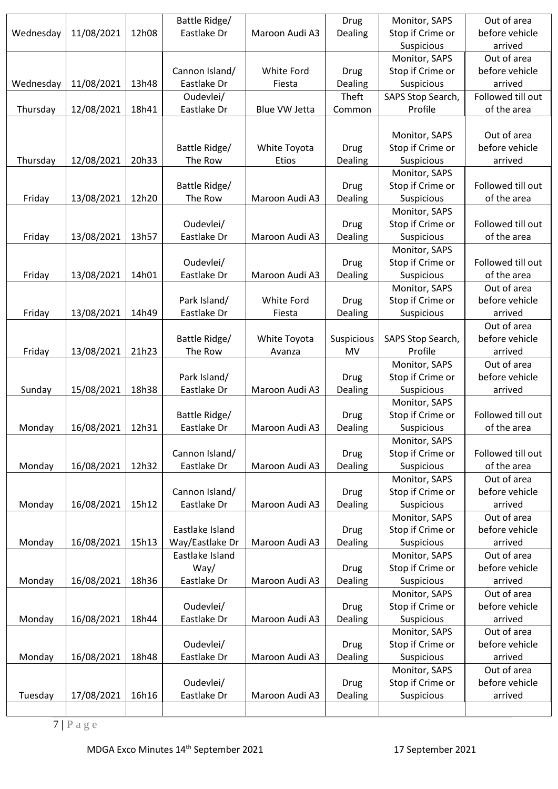|           |            |       | Battle Ridge/   |                | Drug        | Monitor, SAPS     | Out of area       |
|-----------|------------|-------|-----------------|----------------|-------------|-------------------|-------------------|
| Wednesday | 11/08/2021 | 12h08 | Eastlake Dr     | Maroon Audi A3 | Dealing     | Stop if Crime or  | before vehicle    |
|           |            |       |                 |                |             | Suspicious        | arrived           |
|           |            |       |                 |                |             | Monitor, SAPS     | Out of area       |
|           |            |       | Cannon Island/  | White Ford     | <b>Drug</b> | Stop if Crime or  | before vehicle    |
| Wednesday | 11/08/2021 | 13h48 | Eastlake Dr     | Fiesta         | Dealing     | Suspicious        | arrived           |
|           |            |       | Oudevlei/       |                | Theft       | SAPS Stop Search, | Followed till out |
| Thursday  | 12/08/2021 | 18h41 | Eastlake Dr     | Blue VW Jetta  | Common      | Profile           | of the area       |
|           |            |       |                 |                |             |                   |                   |
|           |            |       |                 |                |             | Monitor, SAPS     | Out of area       |
|           |            |       | Battle Ridge/   | White Toyota   | <b>Drug</b> | Stop if Crime or  | before vehicle    |
| Thursday  | 12/08/2021 | 20h33 | The Row         | Etios          | Dealing     | Suspicious        | arrived           |
|           |            |       |                 |                |             | Monitor, SAPS     |                   |
|           |            |       | Battle Ridge/   |                | <b>Drug</b> | Stop if Crime or  | Followed till out |
|           |            | 12h20 | The Row         | Maroon Audi A3 |             | Suspicious        | of the area       |
| Friday    | 13/08/2021 |       |                 |                | Dealing     |                   |                   |
|           |            |       |                 |                |             | Monitor, SAPS     |                   |
|           |            |       | Oudevlei/       |                | <b>Drug</b> | Stop if Crime or  | Followed till out |
| Friday    | 13/08/2021 | 13h57 | Eastlake Dr     | Maroon Audi A3 | Dealing     | Suspicious        | of the area       |
|           |            |       |                 |                |             | Monitor, SAPS     |                   |
|           |            |       | Oudevlei/       |                | <b>Drug</b> | Stop if Crime or  | Followed till out |
| Friday    | 13/08/2021 | 14h01 | Eastlake Dr     | Maroon Audi A3 | Dealing     | Suspicious        | of the area       |
|           |            |       |                 |                |             | Monitor, SAPS     | Out of area       |
|           |            |       | Park Island/    | White Ford     | <b>Drug</b> | Stop if Crime or  | before vehicle    |
| Friday    | 13/08/2021 | 14h49 | Eastlake Dr     | Fiesta         | Dealing     | Suspicious        | arrived           |
|           |            |       |                 |                |             |                   | Out of area       |
|           |            |       | Battle Ridge/   | White Toyota   | Suspicious  | SAPS Stop Search, | before vehicle    |
| Friday    | 13/08/2021 | 21h23 | The Row         | Avanza         | MV          | Profile           | arrived           |
|           |            |       |                 |                |             | Monitor, SAPS     | Out of area       |
|           |            |       | Park Island/    |                | <b>Drug</b> | Stop if Crime or  | before vehicle    |
| Sunday    | 15/08/2021 | 18h38 | Eastlake Dr     | Maroon Audi A3 | Dealing     | Suspicious        | arrived           |
|           |            |       |                 |                |             | Monitor, SAPS     |                   |
|           |            |       | Battle Ridge/   |                | Drug        | Stop if Crime or  | Followed till out |
| Monday    | 16/08/2021 | 12h31 | Eastlake Dr     | Maroon Audi A3 | Dealing     | Suspicious        | of the area       |
|           |            |       |                 |                |             | Monitor, SAPS     |                   |
|           |            |       | Cannon Island/  |                | <b>Drug</b> | Stop if Crime or  | Followed till out |
| Monday    | 16/08/2021 | 12h32 | Eastlake Dr     | Maroon Audi A3 | Dealing     | Suspicious        | of the area       |
|           |            |       |                 |                |             | Monitor, SAPS     | Out of area       |
|           |            |       | Cannon Island/  |                | <b>Drug</b> | Stop if Crime or  | before vehicle    |
| Monday    | 16/08/2021 | 15h12 | Eastlake Dr     | Maroon Audi A3 | Dealing     | Suspicious        | arrived           |
|           |            |       |                 |                |             | Monitor, SAPS     | Out of area       |
|           |            |       | Eastlake Island |                | <b>Drug</b> | Stop if Crime or  | before vehicle    |
| Monday    | 16/08/2021 | 15h13 | Way/Eastlake Dr | Maroon Audi A3 | Dealing     | Suspicious        | arrived           |
|           |            |       | Eastlake Island |                |             | Monitor, SAPS     | Out of area       |
|           |            |       | Way/            |                | <b>Drug</b> | Stop if Crime or  | before vehicle    |
| Monday    | 16/08/2021 | 18h36 | Eastlake Dr     | Maroon Audi A3 | Dealing     | Suspicious        | arrived           |
|           |            |       |                 |                |             | Monitor, SAPS     | Out of area       |
|           |            |       | Oudevlei/       |                | <b>Drug</b> | Stop if Crime or  | before vehicle    |
| Monday    | 16/08/2021 | 18h44 | Eastlake Dr     | Maroon Audi A3 | Dealing     | Suspicious        | arrived           |
|           |            |       |                 |                |             | Monitor, SAPS     | Out of area       |
|           |            |       | Oudevlei/       |                | <b>Drug</b> | Stop if Crime or  | before vehicle    |
| Monday    | 16/08/2021 | 18h48 | Eastlake Dr     | Maroon Audi A3 | Dealing     | Suspicious        | arrived           |
|           |            |       |                 |                |             | Monitor, SAPS     | Out of area       |
|           |            |       | Oudevlei/       |                | <b>Drug</b> | Stop if Crime or  | before vehicle    |
| Tuesday   | 17/08/2021 | 16h16 | Eastlake Dr     | Maroon Audi A3 | Dealing     | Suspicious        | arrived           |
|           |            |       |                 |                |             |                   |                   |
|           |            |       |                 |                |             |                   |                   |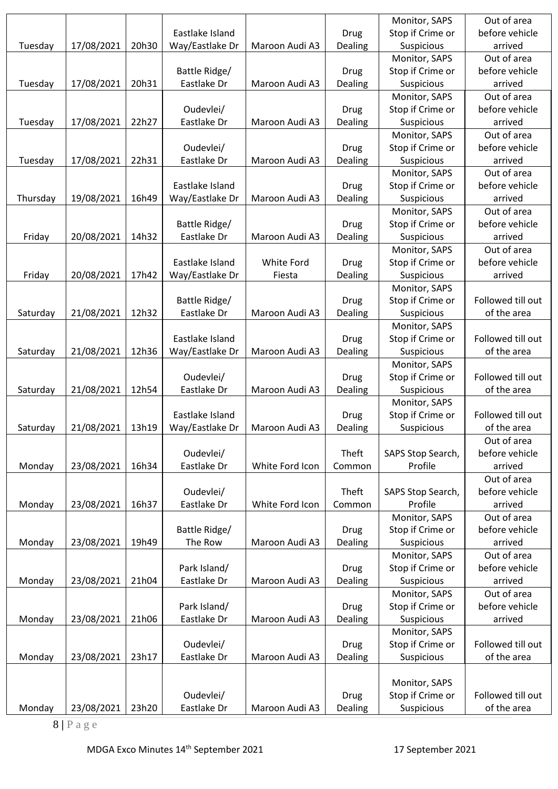|          |            |       |                 |                 |             | Monitor, SAPS     | Out of area       |
|----------|------------|-------|-----------------|-----------------|-------------|-------------------|-------------------|
|          |            |       | Eastlake Island |                 | Drug        | Stop if Crime or  | before vehicle    |
| Tuesday  | 17/08/2021 | 20h30 | Way/Eastlake Dr | Maroon Audi A3  | Dealing     | Suspicious        | arrived           |
|          |            |       |                 |                 |             | Monitor, SAPS     | Out of area       |
|          |            |       | Battle Ridge/   |                 | Drug        | Stop if Crime or  | before vehicle    |
| Tuesday  | 17/08/2021 | 20h31 | Eastlake Dr     | Maroon Audi A3  | Dealing     | Suspicious        | arrived           |
|          |            |       |                 |                 |             | Monitor, SAPS     | Out of area       |
|          |            |       | Oudevlei/       |                 | <b>Drug</b> | Stop if Crime or  | before vehicle    |
| Tuesday  | 17/08/2021 | 22h27 | Eastlake Dr     | Maroon Audi A3  | Dealing     | Suspicious        | arrived           |
|          |            |       |                 |                 |             | Monitor, SAPS     | Out of area       |
|          |            |       | Oudevlei/       |                 | Drug        | Stop if Crime or  | before vehicle    |
| Tuesday  | 17/08/2021 | 22h31 | Eastlake Dr     | Maroon Audi A3  | Dealing     | Suspicious        | arrived           |
|          |            |       |                 |                 |             | Monitor, SAPS     | Out of area       |
|          |            |       | Eastlake Island |                 | Drug        | Stop if Crime or  | before vehicle    |
| Thursday | 19/08/2021 | 16h49 | Way/Eastlake Dr | Maroon Audi A3  | Dealing     | Suspicious        | arrived           |
|          |            |       |                 |                 |             | Monitor, SAPS     | Out of area       |
|          |            |       | Battle Ridge/   |                 | <b>Drug</b> | Stop if Crime or  | before vehicle    |
| Friday   | 20/08/2021 | 14h32 | Eastlake Dr     | Maroon Audi A3  | Dealing     | Suspicious        | arrived           |
|          |            |       |                 |                 |             | Monitor, SAPS     | Out of area       |
|          |            |       | Eastlake Island | White Ford      | <b>Drug</b> | Stop if Crime or  | before vehicle    |
| Friday   | 20/08/2021 | 17h42 | Way/Eastlake Dr | Fiesta          | Dealing     | Suspicious        | arrived           |
|          |            |       |                 |                 |             | Monitor, SAPS     |                   |
|          |            |       | Battle Ridge/   |                 | <b>Drug</b> | Stop if Crime or  | Followed till out |
| Saturday | 21/08/2021 | 12h32 | Eastlake Dr     | Maroon Audi A3  | Dealing     | Suspicious        | of the area       |
|          |            |       |                 |                 |             | Monitor, SAPS     |                   |
|          |            |       | Eastlake Island |                 | <b>Drug</b> | Stop if Crime or  | Followed till out |
| Saturday | 21/08/2021 | 12h36 | Way/Eastlake Dr | Maroon Audi A3  | Dealing     | Suspicious        | of the area       |
|          |            |       |                 |                 |             | Monitor, SAPS     |                   |
|          |            |       | Oudevlei/       |                 | Drug        | Stop if Crime or  | Followed till out |
| Saturday | 21/08/2021 | 12h54 | Eastlake Dr     | Maroon Audi A3  | Dealing     | Suspicious        | of the area       |
|          |            |       |                 |                 |             | Monitor, SAPS     |                   |
|          |            |       | Eastlake Island |                 | Drug        | Stop if Crime or  | Followed till out |
| Saturday | 21/08/2021 | 13h19 | Way/Eastlake Dr | Maroon Audi A3  | Dealing     | Suspicious        | of the area       |
|          |            |       |                 |                 |             |                   | Out of area       |
|          |            |       | Oudevlei/       |                 | Theft       | SAPS Stop Search, | before vehicle    |
| Monday   | 23/08/2021 | 16h34 | Eastlake Dr     | White Ford Icon | Common      | Profile           | arrived           |
|          |            |       |                 |                 |             |                   | Out of area       |
|          |            |       | Oudevlei/       |                 | Theft       | SAPS Stop Search, | before vehicle    |
| Monday   | 23/08/2021 | 16h37 | Eastlake Dr     | White Ford Icon | Common      | Profile           | arrived           |
|          |            |       |                 |                 |             | Monitor, SAPS     | Out of area       |
|          |            |       | Battle Ridge/   |                 | <b>Drug</b> | Stop if Crime or  | before vehicle    |
| Monday   | 23/08/2021 | 19h49 | The Row         | Maroon Audi A3  | Dealing     | Suspicious        | arrived           |
|          |            |       |                 |                 |             | Monitor, SAPS     | Out of area       |
|          |            |       | Park Island/    |                 | Drug        | Stop if Crime or  | before vehicle    |
| Monday   | 23/08/2021 | 21h04 | Eastlake Dr     | Maroon Audi A3  | Dealing     | Suspicious        | arrived           |
|          |            |       |                 |                 |             | Monitor, SAPS     | Out of area       |
|          |            |       | Park Island/    |                 | <b>Drug</b> | Stop if Crime or  | before vehicle    |
| Monday   | 23/08/2021 | 21h06 | Eastlake Dr     | Maroon Audi A3  | Dealing     | Suspicious        | arrived           |
|          |            |       |                 |                 |             | Monitor, SAPS     |                   |
|          |            |       | Oudevlei/       |                 | <b>Drug</b> | Stop if Crime or  | Followed till out |
| Monday   | 23/08/2021 | 23h17 | Eastlake Dr     | Maroon Audi A3  | Dealing     | Suspicious        | of the area       |
|          |            |       |                 |                 |             |                   |                   |
|          |            |       |                 |                 |             | Monitor, SAPS     |                   |
|          |            |       | Oudevlei/       |                 | <b>Drug</b> | Stop if Crime or  | Followed till out |
| Monday   | 23/08/2021 | 23h20 | Eastlake Dr     | Maroon Audi A3  | Dealing     | Suspicious        | of the area       |
|          |            |       |                 |                 |             |                   |                   |

8 **|** P a g e